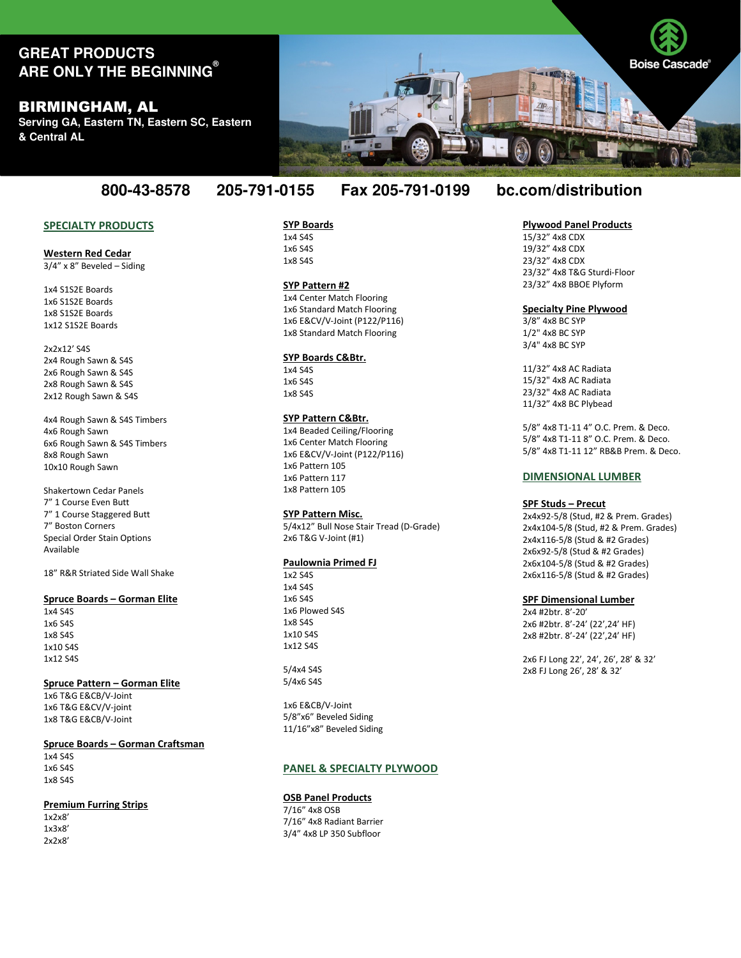# **GREAT PRODUCTS ARE ONLY THE BEGINNING®**

# BIRMINGHAM, AL

**Serving GA, Eastern TN, Eastern SC, Eastern & Central AL**

## SPECIALTY PRODUCTS

#### Western Red Cedar  $3/4$ " x 8" Beveled – Siding

1x4 S1S2E Boards 1x6 S1S2E Boards 1x8 S1S2E Boards 1x12 S1S2E Boards

#### 2x2x12' S4S 2x4 Rough Sawn & S4S 2x6 Rough Sawn & S4S 2x8 Rough Sawn & S4S 2x12 Rough Sawn & S4S

4x4 Rough Sawn & S4S Timbers 4x6 Rough Sawn 6x6 Rough Sawn & S4S Timbers 8x8 Rough Sawn 10x10 Rough Sawn

Shakertown Cedar Panels 7" 1 Course Even Butt 7" 1 Course Staggered Butt 7" Boston Corners Special Order Stain Options Available

18" R&R Striated Side Wall Shake

## Spruce Boards – Gorman Elite

1x4 S4S 1x6 S4S 1x8 S4S 1x10 S4S 1x12 S4S

#### Spruce Pattern – Gorman Elite

1x6 T&G E&CB/V-Joint 1x6 T&G E&CV/V-joint 1x8 T&G E&CB/V-Joint

#### Spruce Boards – Gorman Craftsman

1x4 S4S 1x6 S4S 1x8 S4S

#### Premium Furring Strips

1x2x8' 1x3x8' 2x2x8' SYP Boards 1x4 S4S 1x6 S4S 1x8 S4S

### SYP Pattern #2

1x4 Center Match Flooring 1x6 Standard Match Flooring 1x6 E&CV/V-Joint (P122/P116) 1x8 Standard Match Flooring

#### SYP Boards C&Btr.

1x4 S4S 1x6 S4S 1x8 S4S

#### SYP Pattern C&Btr.

1x4 Beaded Ceiling/Flooring 1x6 Center Match Flooring 1x6 E&CV/V-Joint (P122/P116) 1x6 Pattern 105 1x6 Pattern 117 1x8 Pattern 105

#### SYP Pattern Misc.

5/4x12" Bull Nose Stair Tread (D-Grade) 2x6 T&G V-Joint (#1)

#### Paulownia Primed FJ

1x2 S4S 1x4 S4S 1x6 S4S 1x6 Plowed S4S 1x8 S4S 1x10 S4S 1x12 S4S

5/4x4 S4S 5/4x6 S4S

1x6 E&CB/V-Joint 5/8"x6" Beveled Siding 11/16"x8" Beveled Siding

#### PANEL & SPECIALTY PLYWOOD

# **OSB Panel Products** 7/16" 4x8 OSB

7/16" 4x8 Radiant Barrier 3/4" 4x8 LP 350 Subfloor

# **800-43-8578 205-791-0155 Fax 205-791-0199 bc.com/distribution**

### Plywood Panel Products

15/32" 4x8 CDX 19/32" 4x8 CDX 23/32" 4x8 CDX 23/32" 4x8 T&G Sturdi-Floor 23/32" 4x8 BBOE Plyform

#### Specialty Pine Plywood

3/8" 4x8 BC SYP 1/2" 4x8 BC SYP 3/4" 4x8 BC SYP

11/32" 4x8 AC Radiata 15/32" 4x8 AC Radiata 23/32" 4x8 AC Radiata 11/32" 4x8 BC Plybead

5/8" 4x8 T1-11 4" O.C. Prem. & Deco. 5/8" 4x8 T1-11 8" O.C. Prem. & Deco. 5/8" 4x8 T1-11 12" RB&B Prem. & Deco.

#### DIMENSIONAL LUMBER

#### SPF Studs – Precut

2x4x92-5/8 (Stud, #2 & Prem. Grades) 2x4x104-5/8 (Stud, #2 & Prem. Grades) 2x4x116-5/8 (Stud & #2 Grades) 2x6x92-5/8 (Stud & #2 Grades) 2x6x104-5/8 (Stud & #2 Grades) 2x6x116-5/8 (Stud & #2 Grades)

#### SPF Dimensional Lumber

2x4 #2btr. 8'-20' 2x6 #2btr. 8'-24' (22',24' HF) 2x8 #2btr. 8'-24' (22',24' HF)

2x6 FJ Long 22', 24', 26', 28' & 32' 2x8 FJ Long 26', 28' & 32'